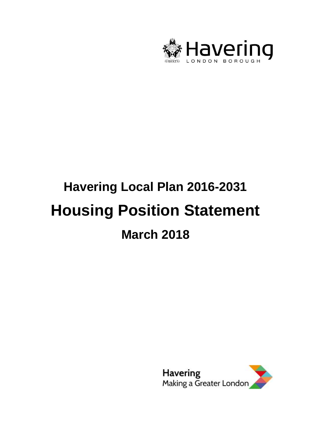

# **Havering Local Plan 2016-2031 Housing Position Statement March 2018**

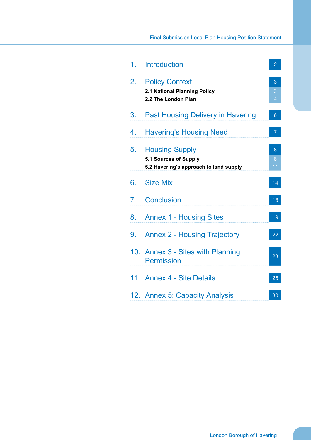### Final Submission Local Plan Housing Position Statement

| 1. | Introduction                                           | $\overline{2}$ |
|----|--------------------------------------------------------|----------------|
| 2. | <b>Policy Context</b>                                  | 3              |
|    | 2.1 National Planning Policy                           | 3              |
|    | 2.2 The London Plan                                    | $\overline{4}$ |
| 3. | <b>Past Housing Delivery in Havering</b>               | $6\phantom{1}$ |
| 4. | <b>Havering's Housing Need</b>                         | $\overline{7}$ |
| 5. | <b>Housing Supply</b>                                  | 8              |
|    | 5.1 Sources of Supply                                  | 8              |
|    | 5.2 Havering's approach to land supply                 | 11             |
| 6. | <b>Size Mix</b>                                        | 14             |
| 7. | <b>Conclusion</b>                                      | 18             |
| 8. | <b>Annex 1 - Housing Sites</b>                         | 19             |
| 9. | <b>Annex 2 - Housing Trajectory</b>                    | 22             |
|    | 10. Annex 3 - Sites with Planning<br><b>Permission</b> | 23             |
|    | 11. Annex 4 - Site Details                             | 25             |
|    | 12. Annex 5: Capacity Analysis                         | 30             |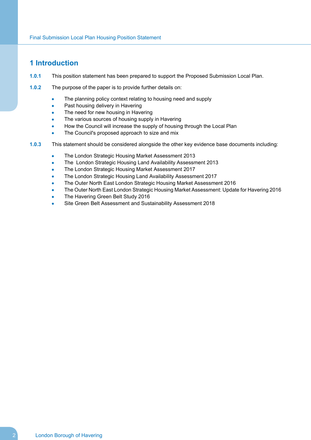### <span id="page-3-0"></span>**1 Introduction**

- **1.0.1** This position statement has been prepared to support the Proposed Submission Local Plan.
- **1.0.2** The purpose of the paper is to provide further details on:
	- The planning policy context relating to housing need and supply
	- Past housing delivery in Havering
	- The need for new housing in Havering
	- The various sources of housing supply in Havering
	- How the Council will increase the supply of housing through the Local Plan
	- The Council's proposed approach to size and mix
- **1.0.3** This statement should be considered alongside the other key evidence base documents including:
	- The London Strategic Housing Market Assessment 2013
	- The London Strategic Housing Land Availability Assessment 2013
	- The London Strategic Housing Market Assessment 2017
	- The London Strategic Housing Land Availability Assessment 2017
	- The Outer North East London Strategic Housing Market Assessment 2016
	- The Outer North East London Strategic Housing Market Assessment: Update for Havering 2016
	- The Havering Green Belt Study 2016
	- Site Green Belt Assessment and Sustainability Assessment 2018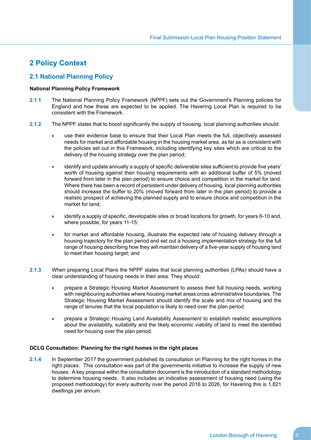### <span id="page-4-1"></span><span id="page-4-0"></span>**2 Policy Context**

### **2.1 National Planning Policy**

### **National Planning Policy Framework**

- **2.1.1** The National Planning Policy Framework (NPPF) sets out the Government's Planning policies for England and how these are expected to be applied. The Havering Local Plan is required to be consistent with the Framework.
- **2.1.2** The NPPF states that to boost significantly the supply of housing, local planning authorities should:
	- use their evidence base to ensure that their Local Plan meets the full, objectively assessed  $\bullet$ needs for market and affordable housing in the housing market area, as far as is consistent with the policies set out in this Framework, including identifying key sites which are critical to the delivery of the housing strategy over the plan period;
	- identify and update annually a supply of specific deliverable sites sufficient to provide five years' worth of housing against their housing requirements with an additional buffer of 5% (moved forward from later in the plan period) to ensure choice and competition in the market for land. Where there has been a record of persistent under delivery of housing, local planning authorities should increase the buffer to 20% (moved forward from later in the plan period) to provide a realistic prospect of achieving the planned supply and to ensure choice and competition in the market for land;
	- identify a supply of specific, developable sites or broad locations for growth, for years 6-10 and, where possible, for years 11-15;
	- for market and affordable housing, illustrate the expected rate of housing delivery through a housing trajectory for the plan period and set out a housing implementation strategy for the full range of housing describing how they will maintain delivery of a five-year supply of housing land to meet their housing target; and
- **2.1.3** When preparing Local Plans the NPPF states that local planning authorities (LPAs) should have a clear understanding of housing needs in their area. They should:
	- prepare a Strategic Housing Market Assessment to assess their full housing needs, working with neighbouring authorities where housing market areas cross administrative boundaries. The Strategic Housing Market Assessment should identify the scale and mix of housing and the range of tenures that the local population is likely to need over the plan period.
	- prepare a Strategic Housing Land Availability Assessment to establish realistic assumptions about the availability, suitability and the likely economic viability of land to meet the identified need for housing over the plan period.

### **DCLG Consultation: Planning for the right homes in the right places**

**2.1.4** In September 2017 the government published its consultation on Planning for the right homes in the right places. This consultation was part of the governments initiative to increase the supply of new houses. A key proposal within the consultation document is the introduction of a standard methodology to determine housing needs. It also includes an indicative assessment of housing need (using the proposed methodology) for every authority over the period 2016 to 2026, for Havering this is 1,821 dwellings per annum.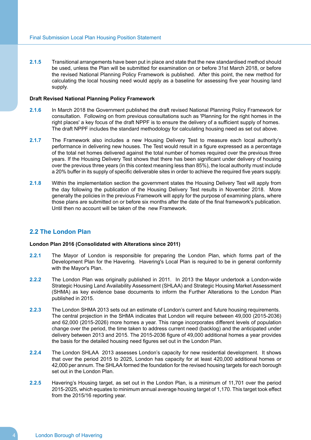**2.1.5** Transitional arrangements have been put in place and state that the new standardised method should be used, unless the Plan will be submitted for examination on or before 31st March 2018, or before the revised National Planning Policy Framework is published. After this point, the new method for calculating the local housing need would apply as a baseline for assessing five year housing land supply.

### **Draft Revised National Planning Policy Framework**

- **2.1.6** In March 2018 the Government published the draft revised National Planning Policy Framework for consultation. Following on from previous consultations such as 'Planning for the right homes in the right places' a key focus of the draft NPPF is to ensure the delivery of a sufficient supply of homes. The draft NPPF includes the standard methodology for calculating housing need as set out above.
- **2.1.7** The Framework also includes a new Housing Delivery Test to measure each local authority's performance in delivering new houses. The Test would result in a figure expressed as a percentage of the total net homes delivered against the total number of homes required over the previous three years. If the Housing Delivery Test shows that there has been significant under delivery of housing over the previous three years (in this context meaning less than 85%), the local authority must include a 20% buffer in its supply of specific deliverable sites in order to achieve the required five years supply.
- **2.1.8** Within the implementation section the government states the Housing Delivery Test will apply from the day following the publication of the Housing Delivery Test results in November 2018. More generally the policies in the previous Framework will apply for the purpose of examining plans, where those plans are submitted on or before six months after the date of the final framework's publication. Until then no account will be taken of the new Framework.

### <span id="page-5-0"></span>**2.2 The London Plan**

### **London Plan 2016 (Consolidated with Alterations since 2011)**

- **2.2.1** The Mayor of London is responsible for preparing the London Plan, which forms part of the Development Plan for the Havering. Havering's Local Plan is required to be in general conformity with the Mayor's Plan.
- **2.2.2** The London Plan was originally published in 2011. In 2013 the Mayor undertook a London-wide Strategic Housing Land Availability Assessment (SHLAA) and Strategic Housing Market Assessment (SHMA) as key evidence base documents to inform the Further Alterations to the London Plan published in 2015.
- **2.2.3** The London SHMA 2013 sets out an estimate of London's current and future housing requirements. The central projection in the SHMA indicates that London will require between 49,000 (2015-2036) and 62,000 (2015-2026) more homes a year. This range incorporates different levels of population change over the period, the time taken to address current need (backlog) and the anticipated under delivery between 2013 and 2015. The 2015-2036 figure of 49,000 additional homes a year provides the basis for the detailed housing need figures set out in the London Plan.
- **2.2.4** The London SHLAA 2013 assesses London's capacity for new residential development. It shows that over the period 2015 to 2025, London has capacity for at least 420,000 additional homes or 42,000 per annum. The SHLAA formed the foundation for the revised housing targets for each borough set out in the London Plan.
- **2.2.5** Havering's Housing target, as set out in the London Plan, is a minimum of 11,701 over the period 2015-2025, which equates to minimum annual average housing target of 1,170. This target took effect from the 2015/16 reporting year.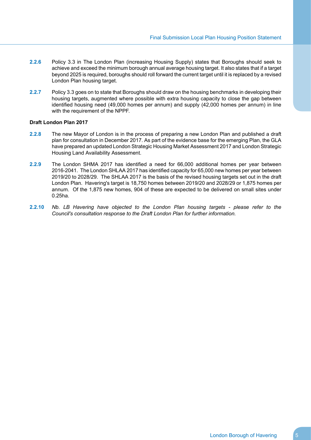- **2.2.6** Policy 3.3 in The London Plan (increasing Housing Supply) states that Boroughs should seek to achieve and exceed the minimum borough annual average housing target. It also states that if a target beyond 2025 is required, boroughs should roll forward the current target until it is replaced by a revised London Plan housing target.
- **2.2.7** Policy 3.3 goes on to state that Boroughs should draw on the housing benchmarks in developing their housing targets, augmented where possible with extra housing capacity to close the gap between identified housing need (49,000 homes per annum) and supply (42,000 homes per annum) in line with the requirement of the NPPF.

### **Draft London Plan 2017**

- **2.2.8** The new Mayor of London is in the process of preparing a new London Plan and published a draft plan for consultation in December 2017. As part of the evidence base for the emerging Plan, the GLA have prepared an updated London Strategic Housing Market Assessment 2017 and London Strategic Housing Land Availability Assessment.
- **2.2.9** The London SHMA 2017 has identified a need for 66,000 additional homes per year between 2016-2041. The London SHLAA 2017 has identified capacity for 65,000 new homes per year between 2019/20 to 2028/29. The SHLAA 2017 is the basis of the revised housing targets set out in the draft London Plan. Havering's target is 18,750 homes between 2019/20 and 2028/29 or 1,875 homes per annum. Of the 1,875 new homes, 904 of these are expected to be delivered on small sites under 0.25ha.
- **2.2.10** *Nb. LB Havering have objected to the London Plan housing targets please refer to the Council's consultation response to the Draft London Plan for further information.*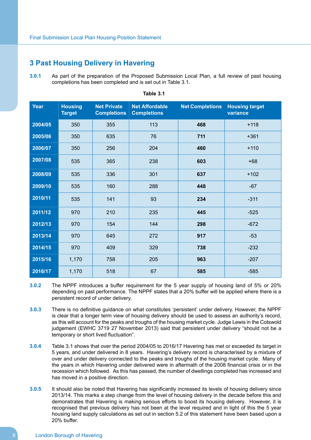### <span id="page-7-0"></span>**3 Past Housing Delivery in Havering**

**3.0.1** As part of the preparation of the Proposed Submission Local Plan, a full review of past housing completions has been completed and is set out in Table 3.1.

| Year    | <b>Housing</b><br><b>Target</b> | <b>Net Private</b><br><b>Completions</b> | <b>Net Affordable</b><br><b>Completions</b> | <b>Net Completions</b> | <b>Housing target</b><br>variance |
|---------|---------------------------------|------------------------------------------|---------------------------------------------|------------------------|-----------------------------------|
| 2004/05 | 350                             | 355                                      | 113                                         | 468                    | $+118$                            |
| 2005/06 | 350                             | 635                                      | 76                                          | 711                    | $+361$                            |
| 2006/07 | 350                             | 256                                      | 204                                         | 460                    | $+110$                            |
| 2007/08 | 535                             | 365                                      | 238                                         | 603                    | $+68$                             |
| 2008/09 | 535                             | 336                                      | 301                                         | 637                    | $+102$                            |
| 2009/10 | 535                             | 160                                      | 288                                         | 448                    | $-87$                             |
| 2010/11 | 535                             | 141                                      | 93                                          | 234                    | $-311$                            |
| 2011/12 | 970                             | 210                                      | 235                                         | 445                    | $-525$                            |
| 2012/13 | 970                             | 154                                      | 144                                         | 298                    | $-672$                            |
| 2013/14 | 970                             | 645                                      | 272                                         | 917                    | $-53$                             |
| 2014/15 | 970                             | 409                                      | 329                                         | 738                    | $-232$                            |
| 2015/16 | 1,170                           | 758                                      | 205                                         | 963                    | $-207$                            |
| 2016/17 | 1,170                           | 518                                      | 67                                          | 585                    | $-585$                            |

**Table 3.1**

- **3.0.2** The NPPF introduces a buffer requirement for the 5 year supply of housing land of 5% or 20% depending on past performance. The NPPF states that a 20% buffer will be applied where there is a persistent record of under delivery.
- **3.0.3** There is no definitive guidance on what constitutes 'persistent' under delivery. However, the NPPF is clear that a longer term view of housing delivery should be used to assess an authority's record, as this will account for the peaks and troughs of the housing market cycle. Judge Lewis in the Cotswold judgement (EWHC 3719 27 November 2013) said that persistent under delivery "should not be a temporary or short lived fluctuation".
- **3.0.4** Table 3.1 shows that over the period 2004/05 to 2016/17 Havering has met or exceeded its target in 5 years, and under delivered in 8 years. Havering's delivery record is characterised by a mixture of over and under delivery connected to the peaks and troughs of the housing market cycle. Many of the years in which Havering under delivered were in aftermath of the 2008 financial crisis or in the recession which followed. As this has passed, the number of dwellings completed has increased and has moved in a positive direction.
- **3.0.5** It should also be noted that Havering has significantly increased its levels of housing delivery since 2013/14. This marks a step change from the level of housing delivery in the decade before this and demonstrates that Havering is making serious efforts to boost its housing delivery. However, it is recognised that previous delivery has not been at the level required and in light of this the 5 year housing land supply calculations as set out in section 5.2 of this statement have been based upon a 20% buffer.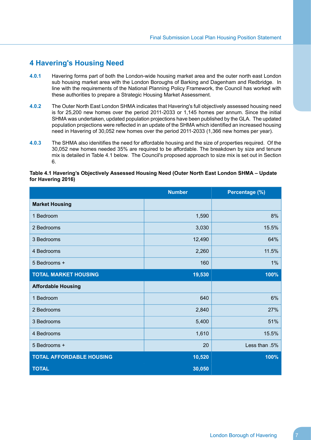### <span id="page-8-0"></span>**4 Havering's Housing Need**

- **4.0.1** Havering forms part of both the London-wide housing market area and the outer north east London sub housing market area with the London Boroughs of Barking and Dagenham and Redbridge. In line with the requirements of the National Planning Policy Framework, the Council has worked with these authorities to prepare a Strategic Housing Market Assessment.
- **4.0.2** The Outer North East London SHMA indicates that Havering's full objectively assessed housing need is for 25,200 new homes over the period 2011-2033 or 1,145 homes per annum. Since the initial SHMA was undertaken, updated population projections have been published by the GLA. The updated population projections were reflected in an update of the SHMA which identified an increased housing need in Havering of 30,052 new homes over the period 2011-2033 (1,366 new homes per year).
- **4.0.3** The SHMA also idenitifies the need for affordable housing and the size of properties required. Of the 30,052 new homes needed 35% are required to be affordable. The breakdown by size and tenure mix is detailed in Table 4.1 below. The Council's proposed approach to size mix is set out in Section 6.

### **Table 4.1 Havering's Objectively Assessed Housing Need (Outer North East London SHMA – Update for Havering 2016)**

|                                 | <b>Number</b> | Percentage (%) |
|---------------------------------|---------------|----------------|
| <b>Market Housing</b>           |               |                |
| 1 Bedroom                       | 1,590         | 8%             |
| 2 Bedrooms                      | 3,030         | 15.5%          |
| 3 Bedrooms                      | 12,490        | 64%            |
| 4 Bedrooms                      | 2,260         | 11.5%          |
| 5 Bedrooms +                    | 160           | $1\%$          |
| <b>TOTAL MARKET HOUSING</b>     | 19,530        | 100%           |
| <b>Affordable Housing</b>       |               |                |
| 1 Bedroom                       | 640           | 6%             |
| 2 Bedrooms                      | 2,840         | 27%            |
| 3 Bedrooms                      | 5,400         | 51%            |
| 4 Bedrooms                      | 1,610         | 15.5%          |
| 5 Bedrooms +                    | 20            | Less than .5%  |
| <b>TOTAL AFFORDABLE HOUSING</b> | 10,520        | 100%           |
| <b>TOTAL</b>                    | 30,050        |                |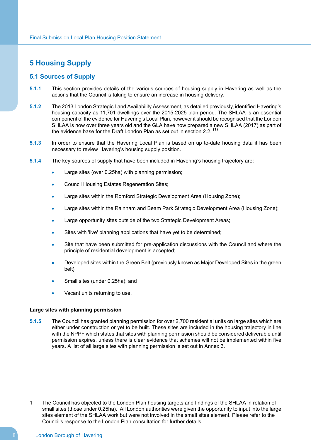### <span id="page-9-1"></span><span id="page-9-0"></span>**5 Housing Supply**

### **5.1 Sources of Supply**

- **5.1.1** This section provides details of the various sources of housing supply in Havering as well as the actions that the Council is taking to ensure an increase in housing delivery.
- **5.1.2** The 2013 London Strategic Land Availability Assessment, as detailed previously, identified Havering's housing capacity as 11,701 dwellings over the 2015-2025 plan period. The SHLAA is an essential component of the evidence for Havering's Local Plan, however it should be recognised that the London SHLAA is now over three years old and the GLA have now prepared a new SHLAA (2017) as part of the evidence base for the Draft London Plan as set out in section 2.2. **(1)**
- **5.1.3** In order to ensure that the Havering Local Plan is based on up to-date housing data it has been necessary to review Havering's housing supply position.
- **5.1.4** The key sources of supply that have been included in Havering's housing trajectory are:
	- Large sites (over 0.25ha) with planning permission;
	- Council Housing Estates Regeneration Sites;
	- Large sites within the Romford Strategic Development Area (Housing Zone);
	- Large sites within the Rainham and Beam Park Strategic Development Area (Housing Zone);
	- Large opportunity sites outside of the two Strategic Development Areas;
	- Sites with 'live' planning applications that have yet to be determined;
	- Site that have been submitted for pre-application discussions with the Council and where the principle of residential development is accepted;
	- Developed sites within the Green Belt (previously known as Major Developed Sites in the green belt)
	- Small sites (under 0.25ha); and
	- Vacant units returning to use.

### **Large sites with planning permission**

**5.1.5** The Council has granted planning permission for over 2,700 residential units on large sites which are either under construction or yet to be built. These sites are included in the housing trajectory in line with the NPPF which states that sites with planning permission should be considered deliverable until permission expires, unless there is clear evidence that schemes will not be implemented within five years. A list of all large sites with planning permission is set out in Annex 3.

1 The Council has objected to the London Plan housing targets and findings of the SHLAA in relation of small sites (those under 0.25ha). All London authorities were given the opportunity to input into the large sites element of the SHLAA work but were not involved in the small sites element*.* Please refer to the Council's response to the London Plan consultation for further details.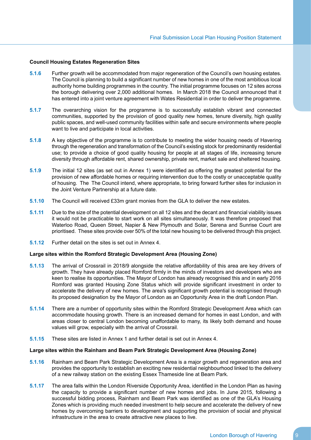### **Council Housing Estates Regeneration Sites**

- **5.1.6** Further growth will be accommodated from major regeneration of the Council's own housing estates. The Council is planning to build a significant number of new homes in one of the most ambitious local authority home building programmes in the country. The initial programme focuses on 12 sites across the borough delivering over 2,000 additional homes. In March 2018 the Council announced that it has entered into a joint venture agreement with Wates Residential in order to deliver the programme.
- **5.1.7** The overarching vision for the programme is to successfully establish vibrant and connected communities, supported by the provision of good quality new homes, tenure diversity, high quality public spaces, and well-used community facilities within safe and secure environments where people want to live and participate in local activities.
- **5.1.8** A key objective of the programme is to contribute to meeting the wider housing needs of Havering through the regeneration and transformation of the Council's existing stock for predominantly residential use; to provide a choice of good quality housing for people at all stages of life, increasing tenure diversity through affordable rent, shared ownership, private rent, market sale and sheltered housing.
- **5.1.9** The initial 12 sites (as set out in Annex 1) were identified as offering the greatest potential for the provision of new affordable homes or requiring intervention due to the costly or unacceptable quality of housing. The The Council intend, where appropriate, to bring forward further sites for inclusion in the Joint Venture Partnership at a future date.
- **5.1.10** The Council will received £33m grant monies from the GLA to deliver the new estates.
- **5.1.11** Due to the size of the potential development on all 12 sites and the decant and financial viability issues it would not be practicable to start work on all sites simultaneously. It was therefore proposed that Waterloo Road, Queen Street, Napier & New Plymouth and Solar, Serena and Sunrise Court are prioritised. These sites provide over 50% of the total new housing to be delivered through this project.
- **5.1.12** Further detail on the sites is set out in Annex 4.

### **Large sites within the Romford Strategic Development Area (Housing Zone)**

- **5.1.13** The arrival of Crossrail in 2018/9 alongside the relative affordability of this area are key drivers of growth. They have already placed Romford firmly in the minds of investors and developers who are keen to realise its opportunities. The Mayor of London has already recognised this and in early 2016 Romford was granted Housing Zone Status which will provide significant investment in order to accelerate the delivery of new homes. The area's significant growth potential is recognised through its proposed designation by the Mayor of London as an Opportunity Area in the draft London Plan.
- **5.1.14** There are a number of opportunity sites within the Romford Strategic Development Area which can accommodate housing growth. There is an increased demand for homes in east London, and with areas closer to central London becoming unaffordable to many, its likely both demand and house values will grow, especially with the arrival of Crossrail.
- **5.1.15** These sites are listed in Annex 1 and further detail is set out in Annex 4.

#### **Large sites within the Rainham and Beam Park Strategic Development Area (Housing Zone)**

- **5.1.16** Rainham and Beam Park Strategic Development Area is a major growth and regeneration area and provides the opportunity to establish an exciting new residential neighbourhood linked to the delivery of a new railway station on the existing Essex Thameside line at Beam Park.
- **5.1.17** The area falls within the London Riverside Opportunity Area, identified in the London Plan as having the capacity to provide a significant number of new homes and jobs. In June 2015, following a successful bidding process, Rainham and Beam Park was identified as one of the GLA's Housing Zones which is providing much needed investment to help secure and accelerate the delivery of new homes by overcoming barriers to development and supporting the provision of social and physical infrastructure in the area to create attractive new places to live.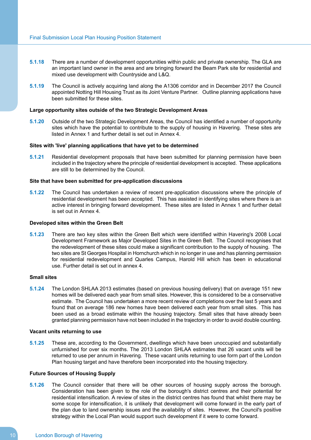- **5.1.18** There are a number of development opportunities within public and private ownership. The GLA are an important land owner in the area and are bringing forward the Beam Park site for residential and mixed use development with Countryside and L&Q.
- **5.1.19** The Council is actively acquiring land along the A1306 corridor and in December 2017 the Council appointed Notting Hill Housing Trust as its Joint Venture Partner. Outline planning applications have been submitted for these sites.

### **Large opportunity sites outside of the two Strategic Development Areas**

**5.1.20** Outside of the two Strategic Development Areas, the Council has identified a number of opportunity sites which have the potential to contribute to the supply of housing in Havering. These sites are listed in Annex 1 and further detail is set out in Annex 4.

### **Sites with 'live' planning applications that have yet to be determined**

**5.1.21** Residential development proposals that have been submitted for planning permission have been included in the trajectory where the principle of residential development is accepted. These applications are still to be determined by the Council.

### **Site that have been submitted for pre-application discussions**

**5.1.22** The Council has undertaken a review of recent pre-application discussions where the principle of residential development has been accepted. This has assisted in identifying sites where there is an active interest in bringing forward development. These sites are listed in Annex 1 and further detail is set out in Annex 4.

#### **Developed sites within the Green Belt**

**5.1.23** There are two key sites within the Green Belt which were identified within Havering's 2008 Local Development Framework as Major Developed Sites in the Green Belt. The Council recognises that the redevelopment of these sites could make a significant contribution to the supply of housing. The two sites are St Georges Hospital in Hornchurch which in no longer in use and has planning permission for residential redevelopment and Quarles Campus, Harold Hill which has been in educational use. Further detail is set out in annex 4.

#### **Small sites**

**5.1.24** The London SHLAA 2013 estimates (based on previous housing delivery) that on average 151 new homes will be delivered each year from small sites. However, this is considered to be a conservative estimate. The Council has undertaken a more recent review of completions over the last 5 years and found that on average 186 new homes have been delivered each year from small sites. This has been used as a broad estimate within the housing trajectory. Small sites that have already been granted planning permission have not been included in the trajectory in order to avoid double counting.

### **Vacant units returning to use**

**5.1.25** These are, according to the Government, dwellings which have been unoccupied and substantially unfurnished for over six months. The 2013 London SHLAA estimates that 26 vacant units will be returned to use per annum in Havering. These vacant units returning to use form part of the London Plan housing target and have therefore been incorporated into the housing trajectory.

### **Future Sources of Housing Supply**

**5.1.26** The Council consider that there will be other sources of housing supply across the borough. Consideration has been given to the role of the borough's district centres and their potential for residential intensification. A review of sites in the district centres has found that whilst there may be some scope for intensification, it is unlikely that development will come forward in the early part of the plan due to land ownership issues and the availability of sites. However, the Council's positive strategy within the Local Plan would support such development if it were to come forward.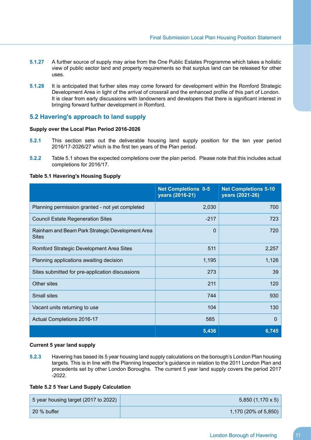- **5.1.27** A further source of supply may arise from the One Public Estates Programme which takes a holistic view of public sector land and property requirements so that surplus land can be released for other uses.
- **5.1.28** It is anticipated that further sites may come forward for development within the Romford Strategic Development Area in light of the arrival of crossrail and the enhanced profile of this part of London. It is clear from early discussions with landowners and developers that there is significant interest in bringing forward further development in Romford.

### <span id="page-12-0"></span>**5.2 Havering's approach to land supply**

### **Supply over the Local Plan Period 2016-2026**

- **5.2.1** This section sets out the deliverable housing land supply position for the ten year period 2016/17-2026/27 which is the first ten years of the Plan period.
- **5.2.2** Table 5.1 shows the expected completions over the plan period. Please note that this includes actual completions for 2016/17.

### **Table 5.1 Havering's Housing Supply**

|                                                                  | <b>Net Completions 0-5</b><br>years (2016-21) | <b>Net Completions 5-10</b><br>years (2021-26) |
|------------------------------------------------------------------|-----------------------------------------------|------------------------------------------------|
| Planning permission granted - not yet completed                  | 2,030                                         | 700                                            |
| <b>Council Estate Regeneration Sites</b>                         | $-217$                                        | 723                                            |
| Rainham and Beam Park Strategic Development Area<br><b>Sites</b> | $\Omega$                                      | 720                                            |
| Romford Strategic Development Area Sites                         | 511                                           | 2,257                                          |
| Planning applications awaiting decision                          | 1,195                                         | 1,126                                          |
| Sites submitted for pre-application discussions                  | 273                                           | 39                                             |
| Other sites                                                      | 211                                           | 120                                            |
| <b>Small sites</b>                                               | 744                                           | 930                                            |
| Vacant units returning to use                                    | 104                                           | 130                                            |
| Actual Completions 2016-17                                       | 585                                           | $\Omega$                                       |
|                                                                  | 5,436                                         | 6,745                                          |

### **Current 5 year land supply**

**5.2.3** Havering has based its 5 year housing land supply calculations on the borough's London Plan housing targets. This is in line with the Planning Inspector's guidance in relation to the 2011 London Plan and precedents set by other London Boroughs. The current 5 year land supply covers the period 2017 -2022.

### **Table 5.2 5 Year Land Supply Calculation**

| 5 year housing target (2017 to 2022) | $5,850(1,170 \times 5)$ |
|--------------------------------------|-------------------------|
| 20 % buffer                          | 1,170 (20% of 5,850)    |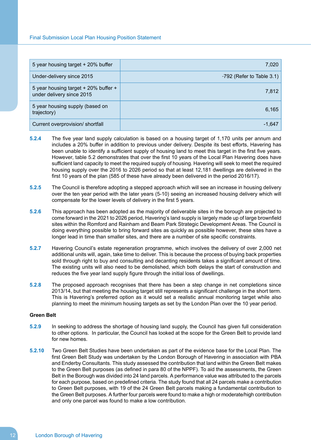| 5 year housing target + 20% buffer                                | 7,020                       |
|-------------------------------------------------------------------|-----------------------------|
| Under-delivery since 2015                                         | $-792$ (Refer to Table 3.1) |
| 5 year housing target + 20% buffer +<br>under delivery since 2015 | 7,812                       |
| 5 year housing supply (based on<br>trajectory)                    | 6,165                       |
| Current overprovision/ shortfall                                  | -1,647                      |

- **5.2.4** The five year land supply calculation is based on a housing target of 1,170 units per annum and includes a 20% buffer in addition to previous under delivery. Despite its best efforts, Havering has been unable to identify a sufficient supply of housing land to meet this target in the first five years. However, table 5.2 demonstrates that over the first 10 years of the Local Plan Havering does have sufficient land capacity to meet the required supply of housing. Havering will seek to meet the required housing supply over the 2016 to 2026 period so that at least 12,181 dwellings are delivered in the first 10 years of the plan (585 of these have already been delivered in the period 2016/17).
- **5.2.5** The Council is therefore adopting a stepped approach which will see an increase in housing delivery over the ten year period with the later years (5-10) seeing an increased housing delivery which will compensate for the lower levels of delivery in the first 5 years.
- **5.2.6** This approach has been adopted as the majority of deliverable sites in the borough are projected to come forward in the 2021 to 2026 period, Havering's land supply is largely made up of large brownfield sites within the Romford and Rainham and Beam Park Strategic Development Areas. The Council is doing everything possible to bring forward sites as quickly as possible however, these sites have a longer lead in time than smaller sites, and there are a number of site specific constraints.
- **5.2.7** Havering Council's estate regeneration programme, which involves the delivery of over 2,000 net additional units will, again, take time to deliver. This is because the process of buying back properties sold through right to buy and consulting and decanting residents takes a significant amount of time. The existing units will also need to be demolished, which both delays the start of construction and reduces the five year land supply figure through the initial loss of dwellings.
- **5.2.8** The proposed approach recognises that there has been a step change in net completions since 2013/14, but that meeting the housing target still represents a significant challenge in the short term. This is Havering's preferred option as it would set a realistic annual monitoring target while also planning to meet the minimum housing targets as set by the London Plan over the 10 year period.

### **Green Belt**

- **5.2.9** In seeking to address the shortage of housing land supply, the Council has given full consideration to other options. In particular, the Council has looked at the scope for the Green Belt to provide land for new homes.
- **5.2.10** Two Green Belt Studies have been undertaken as part of the evidence base for the Local Plan. The first Green Belt Study was undertaken by the London Borough of Havering in association with PBA and Enderby Consultants. This study assessed the contribution that land within the Green Belt makes to the Green Belt purposes (as defined in para 80 of the NPPF). To aid the assessments, the Green Belt in the Borough was divided into 24 land parcels. A performance value was attributed to the parcels for each purpose, based on predefined criteria. The study found that all 24 parcels make a contribution to Green Belt purposes, with 19 of the 24 Green Belt parcels making a fundamental contribution to the Green Belt purposes. A further four parcels were found to make a high or moderate/high contribution and only one parcel was found to make a low contribution.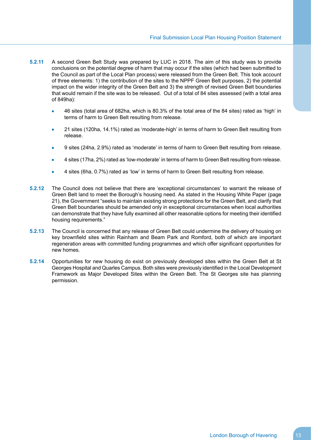- **5.2.11** A second Green Belt Study was prepared by LUC in 2018. The aim of this study was to provide conclusions on the potential degree of harm that may occur if the sites (which had been submitted to the Council as part of the Local Plan process) were released from the Green Belt. This took account of three elements: 1) the contribution of the sites to the NPPF Green Belt purposes, 2) the potential impact on the wider integrity of the Green Belt and 3) the strength of revised Green Belt boundaries that would remain if the site was to be released. Out of a total of 84 sites assessed (with a total area of 849ha):
	- 46 sites (total area of 682ha, which is 80.3% of the total area of the 84 sites) rated as 'high' in terms of harm to Green Belt resulting from release.
	- 21 sites (120ha, 14.1%) rated as 'moderate-high' in terms of harm to Green Belt resulting from release.
	- 9 sites (24ha, 2.9%) rated as 'moderate' in terms of harm to Green Belt resulting from release.
	- 4 sites (17ha, 2%) rated as 'low-moderate' in terms of harm to Green Belt resulting from release.
	- 4 sites (6ha, 0.7%) rated as 'low' in terms of harm to Green Belt resulting from release.
- **5.2.12** The Council does not believe that there are 'exceptional circumstances' to warrant the release of Green Belt land to meet the Borough's housing need. As stated in the Housing White Paper (page 21), the Government "seeks to maintain existing strong protections for the Green Belt, and clarify that Green Belt boundaries should be amended only in exceptional circumstances when local authorities can demonstrate that they have fully examined all other reasonable options for meeting their identified housing requirements."
- **5.2.13** The Council is concerned that any release of Green Belt could undermine the delivery of housing on key brownfield sites within Rainham and Beam Park and Romford, both of which are important regeneration areas with committed funding programmes and which offer significant opportunities for new homes.
- **5.2.14** Opportunities for new housing do exist on previously developed sites within the Green Belt at St Georges Hospital and Quarles Campus. Both sites were previously identified in the Local Development Framework as Major Developed Sites within the Green Belt. The St Georges site has planning permission.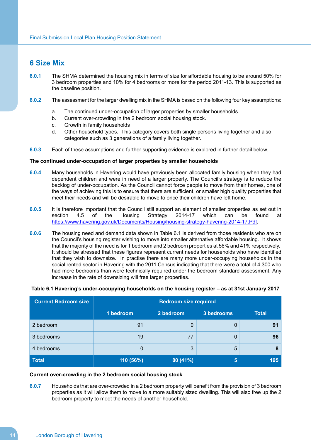### <span id="page-15-0"></span>**6 Size Mix**

- **6.0.1** The SHMA determined the housing mix in terms of size for affordable housing to be around 50% for 3 bedroom properties and 10% for 4 bedrooms or more for the period 2011-13. This is supported as the baseline position.
- **6.0.2** The assessment for the larger dwelling mix in the SHMA is based on the following four key assumptions:
	- a. The continued under-occupation of larger properties by smaller households.
	- b. Current over-crowding in the 2 bedroom social housing stock.
	- c. Growth in family households
	- d. Other household types. This category covers both single persons living together and also categories such as 3 generations of a family living together.
- **6.0.3** Each of these assumptions and further supporting evidence is explored in further detail below.

### **The continued under-occupation of larger properties by smaller households**

- **6.0.4** Many households in Havering would have previously been allocated family housing when they had dependent children and were in need of a larger property. The Council's strategy is to reduce the backlog of under-occupation. As the Council cannot force people to move from their homes, one of the ways of achieving this is to ensure that there are sufficient, or smaller high quality properties that meet their needs and will be desirable to move to once their children have left home.
- **6.0.5** It is therefore important that the Council still support an element of smaller properties as set out in section 4.5 of the Housing Strategy 2014-17 which can be found at [https://www.havering.gov.uk/Documents/Housing/housing-strategy-havering-2014-17.Pdf.](https://www.havering.gov.uk/Documents/Housing/housing-strategy-havering-2014-17.Pdf)
- **6.0.6** The housing need and demand data shown in Table 6.1 is derived from those residents who are on the Council's housing register wishing to move into smaller alternative affordable housing. It shows that the majority of the need is for 1 bedroom and 2 bedroom properties at 56% and 41% respectively. It should be stressed that these figures represent current needs for households who have identified that they wish to downsize. In practise there are many more under-occupying households in the social rented sector in Havering with the 2011 Census indicating that there were a total of 4,300 who had more bedrooms than were technically required under the bedroom standard assessment. Any increase in the rate of downsizing will free larger properties.

### **Table 6.1 Havering's under-occupying households on the housing register – as at 31st January 2017**

| <b>Current Bedroom size</b> | <b>Bedroom size required</b> |           |            |              |
|-----------------------------|------------------------------|-----------|------------|--------------|
|                             | 1 bedroom                    | 2 bedroom | 3 bedrooms | <b>Total</b> |
| 2 bedroom                   | 91                           | 0         | 0          | 91           |
| 3 bedrooms                  | 19                           | 77        | 0          | 96           |
| 4 bedrooms                  | 0                            | 3         | 5          | 8            |
| <b>Total</b>                | 110 (56%)                    | 80 (41%)  | 5          | 195          |

### **Current over-crowding in the 2 bedroom social housing stock**

**6.0.7** Households that are over-crowded in a 2 bedroom property will benefit from the provision of 3 bedroom properties as it will allow them to move to a more suitably sized dwelling. This will also free up the 2 bedroom property to meet the needs of another household.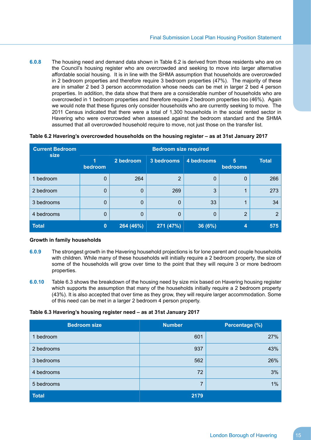**6.0.8** The housing need and demand data shown in Table 6.2 is derived from those residents who are on the Council's housing register who are overcrowded and seeking to move into larger alternative affordable social housing. It is in line with the SHMA assumption that households are overcrowded in 2 bedroom properties and therefore require 3 bedroom properties (47%). The majority of these are in smaller 2 bed 3 person accommodation whose needs can be met in larger 2 bed 4 person properties. In addition, the data show that there are a considerable number of households who are overcrowded in 1 bedroom properties and therefore require 2 bedroom properties too (46%). Again we would note that these figures only consider households who are currently seeking to move. The 2011 Census indicated that there were a total of 1,300 households in the social rented sector in Havering who were overcrowded when assessed against the bedroom standard and the SHMA assumed that all overcrowded household require to move, not just those on the transfer list.

| <b>Current Bedroom</b> | <b>Bedroom size required</b> |           |            |            |               |                |
|------------------------|------------------------------|-----------|------------|------------|---------------|----------------|
| size                   | 1<br>bedroom                 | 2 bedroom | 3 bedrooms | 4 bedrooms | 5<br>bedrooms | <b>Total</b>   |
| 1 bedroom              | 0                            | 264       | 2          | 0          | 0             | 266            |
| 2 bedroom              | 0                            | $\Omega$  | 269        | 3          | 4             | 273            |
| 3 bedrooms             | 0                            | $\Omega$  | 0          | 33         |               | 34             |
| 4 bedrooms             | 0                            | $\Omega$  | 0          | 0          | 2             | $\overline{2}$ |
| <b>Total</b>           | 0                            | 264 (46%) | 271 (47%)  | 36 (6%)    |               | 575            |

### **Table 6.2 Havering's overcrowded households on the housing register – as at 31st January 2017**

#### **Growth in family households**

- **6.0.9** The strongest growth in the Havering household projections is for lone parent and couple households with children. While many of these households will initially require a 2 bedroom property, the size of some of the households will grow over time to the point that they will require 3 or more bedroom properties.
- **6.0.10** Table 6.3 shows the breakdown of the housing need by size mix based on Havering housing register which supports the assumption that many of the households initially require a 2 bedroom property (43%). It is also accepted that over time as they grow, they will require larger accommodation. Some of this need can be met in a larger 2 bedroom 4 person property.

### **Table 6.3 Havering's housing register need – as at 31st January 2017**

| <b>Bedroom size</b> | <b>Number</b> | Percentage (%) |
|---------------------|---------------|----------------|
| bedroom             | 601           | 27%            |
| 2 bedrooms          | 937           | 43%            |
| 3 bedrooms          | 562           | 26%            |
| 4 bedrooms          | 72            | 3%             |
| 5 bedrooms          | 7             | 1%             |
| <b>Total</b>        | 2179          |                |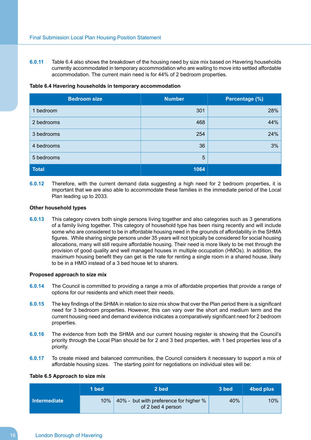**6.0.11** Table 6.4 also shows the breakdown of the housing need by size mix based on Havering households currently accommodated in temporary accommodation who are waiting to move into settled affordable accommodation. The current main need is for 44% of 2 bedroom properties.

### **Table 6.4 Havering households in temporary accommodation**

| <b>Bedroom size</b> | <b>Number</b> | Percentage (%) |
|---------------------|---------------|----------------|
| 1 bedroom           | 301           | 28%            |
| 2 bedrooms          | 468           | 44%            |
| 3 bedrooms          | 254           | 24%            |
| 4 bedrooms          | 36            | 3%             |
| 5 bedrooms          | 5             |                |
| <b>Total</b>        | 1064          |                |

**6.0.12** Therefore, with the current demand data suggesting a high need for 2 bedroom properties, it is important that we are also able to accommodate these families in the immediate period of the Local Plan leading up to 2033.

#### **Other household types**

**6.0.13** This category covers both single persons living together and also categories such as 3 generations of a family living together. This category of household type has been rising recently and will include some who are considered to be in affordable housing need in the grounds of affordability in the SHMA figures. While sharing single persons under 35 years will not typically be considered for social housing allocations, many will still require affordable housing. Their need is more likely to be met through the provision of good quality and well managed houses in multiple occupation (HMOs). In addition, the maximum housing benefit they can get is the rate for renting a single room in a shared house, likely to be in a HMO instead of a 3 bed house let to sharers.

### **Proposed approach to size mix**

- **6.0.14** The Council is committed to providing a range a mix of affordable properties that provide a range of options for our residents and which meet their needs.
- **6.0.15** The key findings of the SHMA in relation to size mix show that over the Plan period there is a significant need for 3 bedroom properties. However, this can vary over the short and medium term and the current housing need and demand evidence indicates a comparatively significant need for 2 bedroom properties.
- **6.0.16** The evidence from both the SHMA and our current housing register is showing that the Council's priority through the Local Plan should be for 2 and 3 bed properties, with 1 bed properties less of a priority.
- **6.0.17** To create mixed and balanced communities, the Council considers it necessary to support a mix of affordable housing sizes. The starting point for negotiations on individual sites will be:

### **Table 6.5 Approach to size mix**

|              | 1 bed  | 2 bed                                                       | 3 bed | 4bed plus |
|--------------|--------|-------------------------------------------------------------|-------|-----------|
| Intermediate | $10\%$ | 40% - but with preference for higher %<br>of 2 bed 4 person | 40%   | $10\%$    |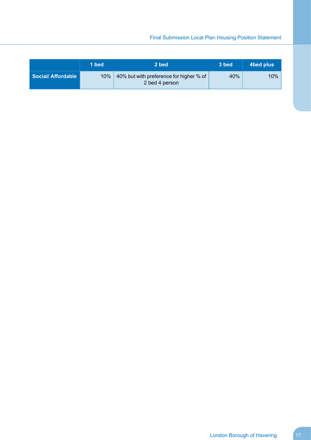### Final Submission Local Plan Housing Position Statement

|                   | 1 bed  | 2 bed                                                     | 3 bed | 4bed plus |
|-------------------|--------|-----------------------------------------------------------|-------|-----------|
| Social/Affordable | $10\%$ | 40% but with preference for higher % of<br>2 bed 4 person | 40%   | 10%       |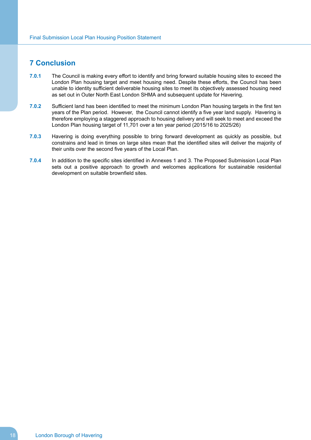### <span id="page-19-0"></span>**7 Conclusion**

- **7.0.1** The Council is making every effort to identify and bring forward suitable housing sites to exceed the London Plan housing target and meet housing need. Despite these efforts, the Council has been unable to identity sufficient deliverable housing sites to meet its objectively assessed housing need as set out in Outer North East London SHMA and subsequent update for Havering.
- **7.0.2** Sufficient land has been identified to meet the minimum London Plan housing targets in the first ten years of the Plan period. However, the Council cannot identify a five year land supply. Havering is therefore employing a staggered approach to housing delivery and will seek to meet and exceed the London Plan housing target of 11,701 over a ten year period (2015/16 to 2025/26)
- **7.0.3** Havering is doing everything possible to bring forward development as quickly as possible, but constrains and lead in times on large sites mean that the identified sites will deliver the majority of their units over the second five years of the Local Plan.
- **7.0.4** In addition to the specific sites identified in Annexes 1 and 3. The Proposed Submission Local Plan sets out a positive approach to growth and welcomes applications for sustainable residential development on suitable brownfield sites.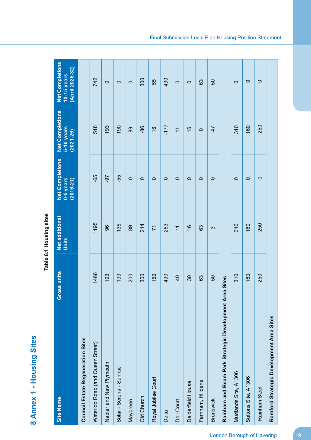|                                                        |                 | obilo Filonoli I : b bizu I |                                                    |                                                       |                                                          |
|--------------------------------------------------------|-----------------|-----------------------------|----------------------------------------------------|-------------------------------------------------------|----------------------------------------------------------|
| <b>Site Name</b>                                       | Gross units     | Net additional<br>Units     | <b>Net Completions</b><br>$0-5$ years<br>(2016-21) | <b>Net Completions</b><br>5-10 years<br>$(2021 - 26)$ | <b>Net Completions</b><br>(April 2026-32)<br>10-15 years |
| Council Estate Regeneration Sites                      |                 |                             |                                                    |                                                       |                                                          |
| Waterloo Road (and Queen Street)                       | 1466            | 1195                        | -65                                                | 518                                                   | 742                                                      |
| Napier and New Plymouth                                | 193             | 96                          | -97                                                | 193                                                   | $\circ$                                                  |
| Solar - Serena - Sunrise                               | 190             | 135                         | -55                                                | 190                                                   | $\circ$                                                  |
| Maygreen                                               | 200             | 89                          | $\circ$                                            | 89                                                    | $\circ$                                                  |
| Old Church                                             | 300             | 214                         | $\circ$                                            | 86                                                    | 300                                                      |
| Royal Jubilee Court                                    | 150             | $\overline{7}$              | $\circ$                                            | $\frac{6}{5}$                                         | 55                                                       |
| Delta                                                  | 430             | 253                         | $\circ$                                            | 177                                                   | 430                                                      |
| Dell Court                                             | $\overline{40}$ | $\overline{\mathcal{L}}$    | $\circ$                                            | $\overline{\mathcal{L}}$                              | $\circ$                                                  |
| Delderfield House                                      | $30\,$          | $\frac{6}{5}$               | $\circ$                                            | $\frac{6}{5}$                                         | $\circ$                                                  |
| Farnham, Hilldene                                      | 63              | 63                          | $\circ$                                            | $\circ$                                               | 63                                                       |
| <b>Brunswick</b>                                       | 50              | က                           | $\circ$                                            | $-47$                                                 | 50                                                       |
| Rainham and Beam Park Strategic Development Area Sites |                 |                             |                                                    |                                                       |                                                          |
| Mudlands Site, A1306                                   | 310             | 310                         | $\circ$                                            | 310                                                   | $\circ$                                                  |
| Suttons Site, A1306                                    | 160             | 160                         | $\circ$                                            | 160                                                   | $\circ$                                                  |
| Rainham Steel                                          | 250             | 250                         | $\circ$                                            | 250                                                   | $\circ$                                                  |
| Romford Strategic Development Area Sites               |                 |                             |                                                    |                                                       |                                                          |

Table 8.1 Housing sites **Table 8.1 Housing sites**

<span id="page-20-0"></span>8 Annex 1 - Housing Sites **Annex 1 - Housing Sites**

London Borough of Havering 19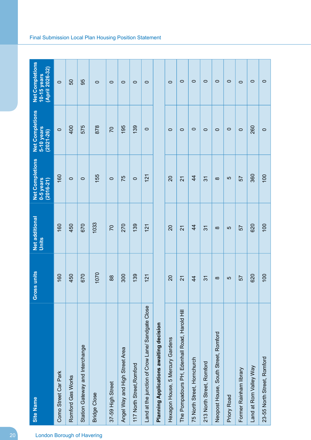| <b>London Borough of Havering</b> | <b>Site Name</b>                                  | oss units<br>$\tilde{5}$ | Net additional<br>Units | <b>Net Completions</b><br>0-5 years<br>$(2016 - 21)$ | <b>Net Completions</b><br>5-10 years<br>$(2021 - 26)$ | <b>Net Completions</b><br>(April 2026-32)<br>10-15 years |
|-----------------------------------|---------------------------------------------------|--------------------------|-------------------------|------------------------------------------------------|-------------------------------------------------------|----------------------------------------------------------|
|                                   | Como Street Car Park                              | 160                      | 160                     | 160                                                  | $\circ$                                               | $\circ$                                                  |
|                                   | Romford Gas Works                                 | 450                      | 450                     | $\circ$                                              | 400                                                   | 50                                                       |
|                                   | Station Gateway and Interchange                   | 670                      | 670                     | $\circ$                                              | 575                                                   | 95                                                       |
|                                   | <b>Bridge Close</b>                               | 1070                     | 1033                    | 155                                                  | 878                                                   | $\circ$                                                  |
|                                   | 37-59 High Street                                 | 88                       | $\overline{C}$          | $\circ$                                              | $\overline{C}$                                        | $\circ$                                                  |
|                                   | Angel Way and High Street Area                    | 300                      | 270                     | 75                                                   | 195                                                   | $\circ$                                                  |
|                                   | 117 North Street, Romford                         | 139                      | 139                     | $\circ$                                              | 139                                                   | $\circ$                                                  |
|                                   | Land at the junction of Crow Lane/ Sandgate Close | 121                      | 121                     | 121                                                  | $\circ$                                               | $\circ$                                                  |
|                                   | <b>Planning Applications awaiting decision</b>    |                          |                         |                                                      |                                                       |                                                          |
|                                   | Hexagon House, 5 Mercury Gardens                  | $\overline{c}$           | $\overline{c}$          | $\overline{c}$                                       | $\circ$                                               | $\circ$                                                  |
|                                   | The Pompadours PH, Edenhall Road, Harold Hill     | $\overline{2}$           | $\overline{2}$          | 21                                                   | $\circ$                                               | $\circ$                                                  |
|                                   | 75 North Street, Hornchurch                       | $\overline{4}$           | $\overline{4}$          | $\overline{4}$                                       | $\circ$                                               | $\circ$                                                  |
|                                   | 213 North Street, Romford                         | $\overline{3}$           | 31                      | $\overline{3}$                                       | $\circ$                                               | $\circ$                                                  |
|                                   | Neopost House, South Street, Romford              | $\infty$                 | $\infty$                | $\infty$                                             | $\circ$                                               | $\circ$                                                  |
|                                   | <b>Priory Road</b>                                | 5                        | 5                       | 5                                                    | $\circ$                                               | $\circ$                                                  |
|                                   | Former Rainham library                            | 57                       | 57                      | 57                                                   | $\circ$                                               | $\circ$                                                  |
|                                   | Land at Rom Valley Way                            | 620                      | 620                     | 360                                                  | 260                                                   | $\circ$                                                  |
|                                   | 23-55 North Street, Romford                       | 100                      | 100                     | 100                                                  | $\circ$                                               | $\circ$                                                  |

### Final Submission Local Plan Housing Position Statement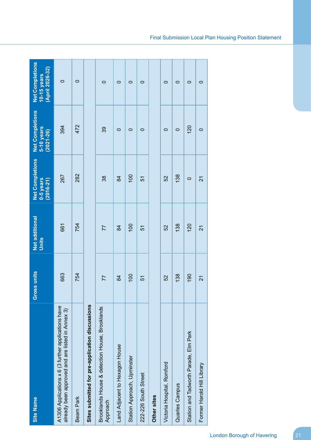| <b>Site Name</b>                                                                                        | Gross units    | Net additional<br>Units | Net Completions<br>0-5 years<br>$(2016 - 21)$ | <b>Net Completions</b><br>5-10 years<br>$(2021 - 26)$ | <b>Net Completions</b><br>(April 2026-32)<br>10-15 years |
|---------------------------------------------------------------------------------------------------------|----------------|-------------------------|-----------------------------------------------|-------------------------------------------------------|----------------------------------------------------------|
| A1306 Applications x 6 (3 further applications have<br>already been approved and are listed in Annex 3) | 663            | 661                     | 267                                           | 394                                                   | $\circ$                                                  |
| Beam Park                                                                                               | 754            | 754                     | 282                                           | 472                                                   | $\circ$                                                  |
| Sites submitted for pre-application discussions                                                         |                |                         |                                               |                                                       |                                                          |
| Brooklands House & detection House, Brooklands<br>Approach                                              | 77             | 77                      | 38                                            | 39                                                    | $\circ$                                                  |
| Land Adjacent to Hexagon House                                                                          | $\overline{8}$ | $\overline{8}$          | $\overline{8}$                                | $\circ$                                               | $\circ$                                                  |
| Station Approach, Upminster                                                                             | 100            | 100                     | 100                                           | 0                                                     | $\circ$                                                  |
| 222-226 South Street                                                                                    | 57             | 5                       | 5                                             | $\circ$                                               | $\circ$                                                  |
| Other sites                                                                                             |                |                         |                                               |                                                       |                                                          |
| Victoria Hospital, Romford                                                                              | 52             | 52                      | 52                                            | $\circ$                                               | $\circ$                                                  |
| Quarles Campus                                                                                          | 138            | 138                     | 138                                           | $\circ$                                               | $\circ$                                                  |
| Station and Tadworth Parade, Elm Park                                                                   | 190            | 120                     | $\circ$                                       | 120                                                   | $\circ$                                                  |
| Former Harold Hill Library                                                                              | 21             | 21                      | 21                                            | $\circ$                                               | $\circ$                                                  |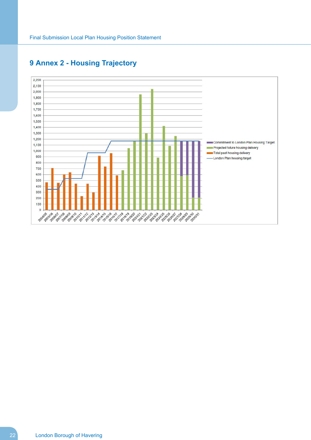

# <span id="page-23-0"></span>**Annex 2 - Housing Trajectory**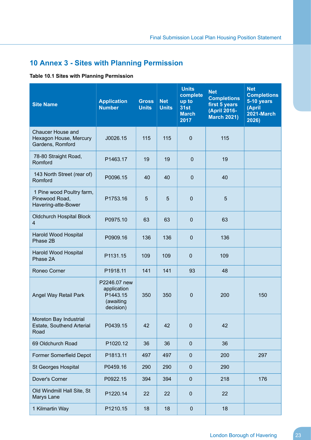# <span id="page-24-0"></span>**10 Annex 3 - Sites with Planning Permission**

### **Table 10.1 Sites with Planning Permission**

| <b>Site Name</b>                                                       | <b>Application</b><br><b>Number</b>                               | <b>Gross</b><br><b>Units</b> | <b>Net</b><br><b>Units</b> | <b>Units</b><br>complete<br>up to<br><b>31st</b><br><b>March</b><br>2017 | <b>Net</b><br><b>Completions</b><br>first 5 years<br>(April 2016-<br><b>March 2021)</b> | <b>Net</b><br><b>Completions</b><br>5-10 years<br>(April<br>2021-March<br>2026) |
|------------------------------------------------------------------------|-------------------------------------------------------------------|------------------------------|----------------------------|--------------------------------------------------------------------------|-----------------------------------------------------------------------------------------|---------------------------------------------------------------------------------|
| <b>Chaucer House and</b><br>Hexagon House, Mercury<br>Gardens, Romford | J0026.15                                                          | 115                          | 115                        | $\overline{0}$                                                           | 115                                                                                     |                                                                                 |
| 78-80 Straight Road,<br>Romford                                        | P1463.17                                                          | 19                           | 19                         | $\mathbf 0$                                                              | 19                                                                                      |                                                                                 |
| 143 North Street (rear of)<br>Romford                                  | P0096.15                                                          | 40                           | 40                         | $\mathbf 0$                                                              | 40                                                                                      |                                                                                 |
| 1 Pine wood Poultry farm,<br>Pinewood Road,<br>Havering-atte-Bower     | P1753.16                                                          | 5                            | 5                          | $\mathbf 0$                                                              | 5                                                                                       |                                                                                 |
| <b>Oldchurch Hospital Block</b><br>$\overline{4}$                      | P0975.10                                                          | 63                           | 63                         | $\mathbf 0$                                                              | 63                                                                                      |                                                                                 |
| Harold Wood Hospital<br>Phase 2B                                       | P0909.16                                                          | 136                          | 136                        | $\mathbf 0$                                                              | 136                                                                                     |                                                                                 |
| Harold Wood Hospital<br>Phase 2A                                       | P1131.15                                                          | 109                          | 109                        | $\mathbf 0$                                                              | 109                                                                                     |                                                                                 |
| Roneo Corner                                                           | P1918.11                                                          | 141                          | 141                        | 93                                                                       | 48                                                                                      |                                                                                 |
| Angel Way Retail Park                                                  | P2246.07 new<br>application<br>P1443.15<br>(awaiting<br>decision) | 350                          | 350                        | $\mathbf 0$                                                              | 200                                                                                     | 150                                                                             |
| Moreton Bay Industrial<br>Estate, Southend Arterial<br>Road            | P0439.15                                                          | 42                           | 42                         | $\overline{0}$                                                           | 42                                                                                      |                                                                                 |
| 69 Oldchurch Road                                                      | P1020.12                                                          | 36                           | 36                         | $\pmb{0}$                                                                | 36                                                                                      |                                                                                 |
| Former Somerfield Depot                                                | P1813.11                                                          | 497                          | 497                        | $\pmb{0}$                                                                | 200                                                                                     | 297                                                                             |
| St Georges Hospital                                                    | P0459.16                                                          | 290                          | 290                        | $\pmb{0}$                                                                | 290                                                                                     |                                                                                 |
| Dover's Corner                                                         | P0922.15                                                          | 394                          | 394                        | $\pmb{0}$                                                                | 218                                                                                     | 176                                                                             |
| Old Windmill Hall Site, St<br>Marys Lane                               | P1220.14                                                          | 22                           | 22                         | $\pmb{0}$                                                                | 22                                                                                      |                                                                                 |
| 1 Kilmartin Way                                                        | P1210.15                                                          | 18                           | 18                         | $\pmb{0}$                                                                | 18                                                                                      |                                                                                 |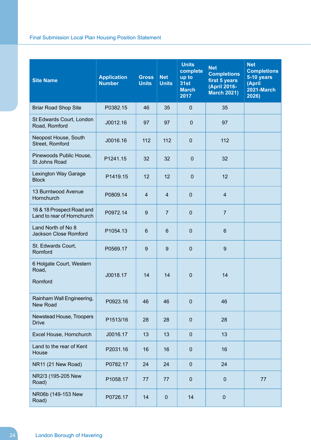| <b>Site Name</b>                                        | <b>Application</b><br><b>Number</b> | <b>Gross</b><br><b>Units</b> | <b>Net</b><br><b>Units</b> | <b>Units</b><br>complete<br>up to<br>31st<br><b>March</b><br>2017 | <b>Net</b><br><b>Completions</b><br>first 5 years<br>(April 2016-<br><b>March 2021)</b> | <b>Net</b><br><b>Completions</b><br>5-10 years<br>(April<br><b>2021-March</b><br>2026) |
|---------------------------------------------------------|-------------------------------------|------------------------------|----------------------------|-------------------------------------------------------------------|-----------------------------------------------------------------------------------------|----------------------------------------------------------------------------------------|
| <b>Briar Road Shop Site</b>                             | P0382.15                            | 46                           | 35                         | $\mathbf{0}$                                                      | 35                                                                                      |                                                                                        |
| St Edwards Court, London<br>Road, Romford               | J0012.16                            | 97                           | 97                         | $\mathbf 0$                                                       | 97                                                                                      |                                                                                        |
| Neopost House, South<br>Street, Romford                 | J0016.16                            | 112                          | 112                        | $\mathbf 0$                                                       | 112                                                                                     |                                                                                        |
| Pinewoods Public House,<br>St Johns Road                | P1241.15                            | 32                           | 32                         | $\mathbf 0$                                                       | 32                                                                                      |                                                                                        |
| Lexington Way Garage<br><b>Block</b>                    | P1419.15                            | 12                           | 12                         | $\mathbf 0$                                                       | 12                                                                                      |                                                                                        |
| 13 Burntwood Avenue<br>Hornchurch                       | P0809.14                            | $\overline{4}$               | $\overline{4}$             | $\mathbf{0}$                                                      | 4                                                                                       |                                                                                        |
| 16 & 18 Prospect Road and<br>Land to rear of Hornchurch | P0972.14                            | 9                            | $\overline{7}$             | $\mathbf{0}$                                                      | $\overline{7}$                                                                          |                                                                                        |
| Land North of No 8<br>Jackson Close Romford             | P1054.13                            | 6                            | 6                          | $\mathbf{0}$                                                      | $6\phantom{1}$                                                                          |                                                                                        |
| St. Edwards Court,<br>Romford                           | P0569.17                            | 9                            | 9                          | $\overline{0}$                                                    | 9                                                                                       |                                                                                        |
| 6 Holgate Court, Western<br>Road,<br>Romford            | J0018.17                            | 14                           | 14                         | $\mathbf{0}$                                                      | 14                                                                                      |                                                                                        |
| Rainham Wall Engineering,<br>New Road                   | P0923.16                            | 46                           | 46                         | $\mathbf 0$                                                       | 46                                                                                      |                                                                                        |
| Newstead House, Troopers<br><b>Drive</b>                | P1513/16                            | 28                           | 28                         | $\mathbf 0$                                                       | 28                                                                                      |                                                                                        |
| Excel House, Hornchurch                                 | J0016.17                            | 13                           | 13                         | $\mathbf 0$                                                       | 13                                                                                      |                                                                                        |
| Land to the rear of Kent<br>House                       | P2031.16                            | 16                           | 16                         | $\mathbf 0$                                                       | 16                                                                                      |                                                                                        |
| NR11 (21 New Road)                                      | P0782.17                            | 24                           | 24                         | $\mathbf 0$                                                       | 24                                                                                      |                                                                                        |
| NR2/3 (195-205 New<br>Road)                             | P1058.17                            | 77                           | 77                         | $\mathbf 0$                                                       | $\pmb{0}$                                                                               | 77                                                                                     |
| NR06b (149-153 New<br>Road)                             | P0726.17                            | 14                           | $\mathbf 0$                | 14                                                                | $\pmb{0}$                                                                               |                                                                                        |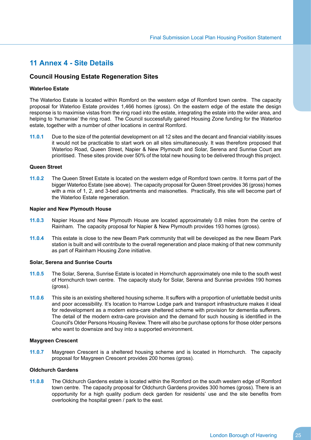### <span id="page-26-0"></span>**11 Annex 4 - Site Details**

### **Council Housing Estate Regeneration Sites**

### **Waterloo Estate**

The Waterloo Estate is located within Romford on the western edge of Romford town centre. The capacity proposal for Waterloo Estate provides 1,466 homes (gross). On the eastern edge of the estate the design response is to maximise vistas from the ring road into the estate, integrating the estate into the wider area, and helping to 'humanise' the ring road. The Council successfully gained Housing Zone funding for the Waterloo estate, together with a number of other locations in central Romford.

**11.0.1** Due to the size of the potential development on all 12 sites and the decant and financial viability issues it would not be practicable to start work on all sites simultaneously. It was therefore proposed that Waterloo Road, Queen Street, Napier & New Plymouth and Solar, Serena and Sunrise Court are prioritised. These sites provide over 50% of the total new housing to be delivered through this project.

### **Queen Street**

**11.0.2** The Queen Street Estate is located on the western edge of Romford town centre. It forms part of the bigger Waterloo Estate (see above). The capacity proposal for Queen Street provides 36 (gross) homes with a mix of 1, 2, and 3-bed apartments and maisonettes. Practically, this site will become part of the Waterloo Estate regeneration.

### **Napier and New Plymouth House**

- **11.0.3** Napier House and New Plymouth House are located approximately 0.8 miles from the centre of Rainham. The capacity proposal for Napier & New Plymouth provides 193 homes (gross).
- **11.0.4** This estate is close to the new Beam Park community that will be developed as the new Beam Park station is built and will contribute to the overall regeneration and place making of that new community as part of Rainham Housing Zone initiative.

### **Solar, Serena and Sunrise Courts**

- **11.0.5** The Solar, Serena, Sunrise Estate is located in Hornchurch approximately one mile to the south west of Hornchurch town centre. The capacity study for Solar, Serena and Sunrise provides 190 homes (gross).
- **11.0.6** This site is an existing sheltered housing scheme. It suffers with a proportion of unlettable bedsit units and poor accessibility. It's location to Harrow Lodge park and transport infrastructure makes it ideal for redevelopment as a modern extra-care sheltered scheme with provision for dementia sufferers. The detail of the modern extra-care provision and the demand for such housing is identified in the Council's Older Persons Housing Review. There will also be purchase options for those older persons who want to downsize and buy into a supported environment.

### **Maygreen Crescent**

**11.0.7** Maygreen Crescent is a sheltered housing scheme and is located in Hornchurch. The capacity proposal for Maygreen Crescent provides 200 homes (gross).

### **Oldchurch Gardens**

**11.0.8** The Oldchurch Gardens estate is located within the Romford on the south western edge of Romford town centre. The capacity proposal for Oldchurch Gardens provides 300 homes (gross). There is an opportunity for a high quality podium deck garden for residents' use and the site benefits from overlooking the hospital green / park to the east.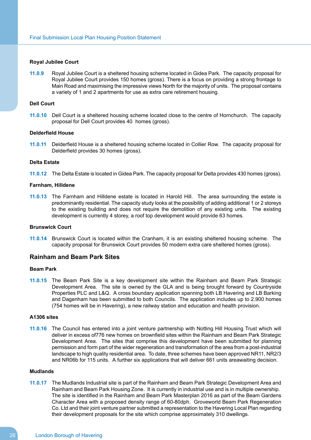### **Royal Jubilee Court**

**11.0.9** Royal Jubilee Court is a sheltered housing scheme located in Gidea Park. The capacity proposal for Royal Jubilee Court provides 150 homes (gross). There is a focus on providing a strong frontage to Main Road and maximising the impressive views North for the majority of units. The proposal contains a variety of 1 and 2 apartments for use as extra care retirement housing.

### **Dell Court**

**11.0.10** Dell Court is a sheltered housing scheme located close to the centre of Hornchurch. The capacity proposal for Dell Court provides 40 homes (gross).

### **Delderfield House**

**11.0.11** Delderfield House is a sheltered housing scheme located in Collier Row. The capacity proposal for Delderfield provides 30 homes (gross).

### **Delta Estate**

**11.0.12** The Delta Estate is located in Gidea Park. The capacity proposal for Delta provides 430 homes (gross).

### **Farnham, Hilldene**

**11.0.13** The Farnham and Hilldene estate is located in Harold Hill. The area surrounding the estate is predominantly residential. The capacity study looks at the possibility of adding additional 1 or 2 storeys to the existing building and does not require the demolition of any existing units. The existing development is currently 4 storey, a roof top development would provide 63 homes.

### **Brunswick Court**

**11.0.14** Brunswick Court is located within the Cranham, it is an existing sheltered housing scheme. The capacity proposal for Brunswick Court provides 50 modern extra care sheltered homes (gross).

### **Rainham and Beam Park Sites**

### **Beam Park**

**11.0.15** The Beam Park Site is a key development site within the Rainham and Beam Park Strategic Development Area. The site is owned by the GLA and is being brought forward by Countryside Properties PLC and L&Q. A cross boundary application spanning both LB Havering and LB Barking and Dagenham has been submitted to both Councils. The application includes up to 2,900 homes (754 homes will be in Havering), a new railway station and education and health provision.

### **A1306 sites**

**11.0.16** The Council has entered into a joint venture partnership with Notting Hill Housing Trust which will deliver in excess of776 new homes on brownfield sites within the Rainham and Beam Park Strategic Development Area. The sites that comprise this development have been submitted for planning permission and form part of the wider regeneration and transformation of the area from a post-industrial landscape to high quality residential area. To date, three schemes have been approved NR11, NR2/3 and NR06b for 115 units. A further six applications that will deliver 661 units areawaiting decision.

#### **Mudlands**

**11.0.17** The Mudlands Industrial site is part of the Rainham and Beam Park Strategic Development Area and Rainham and Beam Park Housing Zone. It is currently in industrial use and is in multiple ownership. The site is identified in the Rainham and Beam Park Masterplan 2016 as part of the Beam Gardens Character Area with a proposed density range of 60-80dph. Groveworld Beam Park Regeneration Co. Ltd and their joint venture partner submitted a representation to the Havering Local Plan regarding their development proposals for the site which comprise approximately 310 dwellings.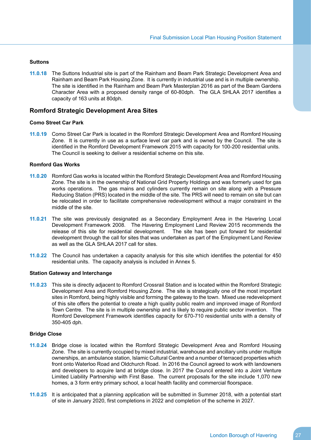### **Suttons**

**11.0.18** The Suttons Industrial site is part of the Rainham and Beam Park Strategic Development Area and Rainham and Beam Park Housing Zone. It is currently in industrial use and is in multiple ownership. The site is identified in the Rainham and Beam Park Masterplan 2016 as part of the Beam Gardens Character Area with a proposed density range of 60-80dph. The GLA SHLAA 2017 identifies a capacity of 163 units at 80dph.

### **Romford Strategic Development Area Sites**

### **Como Street Car Park**

**11.0.19** Como Street Car Park is located in the Romford Strategic Development Area and Romford Housing Zone. It is currently in use as a surface level car park and is owned by the Council. The site is identified in the Romford Development Framework 2015 with capacity for 100-200 residential units. The Council is seeking to deliver a residential scheme on this site.

### **Romford Gas Works**

- **11.0.20** Romford Gas works is located within the Romford Strategic Development Area and Romford Housing Zone. The site is in the ownership of National Grid Property Holdings and was formerly used for gas works operations. The gas mains and cylinders currently remain on site along with a Pressure Reducing Station (PRS) located in the middle of the site. The PRS will need to remain on site but can be relocated in order to facilitate comprehensive redevelopment without a major constraint in the middle of the site.
- **11.0.21** The site was previously designated as a Secondary Employment Area in the Havering Local Development Framework 2008. The Havering Employment Land Review 2015 recommends the release of this site for residential development. The site has been put forward for residential development through the call for sites that was undertaken as part of the Employment Land Review as well as the GLA SHLAA 2017 call for sites.
- **11.0.22** The Council has undertaken a capacity analysis for this site which identifies the potential for 450 residential units. The capacity analysis is included in Annex 5.

### **Station Gateway and Interchange**

**11.0.23** This site is directly adjacent to Romford Crossrail Station and is located within the Romford Strategic Development Area and Romford Housing Zone. The site is strategically one of the most important sites in Romford, being highly visible and forming the gateway to the town. Mixed use redevelopment of this site offers the potential to create a high quality public realm and improved image of Romford Town Centre. The site is in multiple ownership and is likely to require public sector invention. The Romford Development Framework identifies capacity for 670-710 residential units with a density of 350-405 dph.

### **Bridge Close**

- **11.0.24** Bridge close is located within the Romford Strategic Development Area and Romford Housing Zone. The site is currently occupied by mixed industrial, warehouse and ancillary units under multiple ownerships, an ambulance station, Islamic Cultural Centre and a number of terraced properties which front onto Waterloo Road and Oldchurch Road. In 2016 the Council agreed to work with landowners and developers to acquire land at bridge close. In 2017 the Council entered into a Joint Venture Limited Liability Partnership with First Base. The current proposals for the site include 1,070 new homes, a 3 form entry primary school, a local health facility and commercial floorspace.
- **11.0.25** It is anticipated that a planning application will be submitted in Summer 2018, with a potential start of site in January 2020, first completions in 2022 and completion of the scheme in 2027.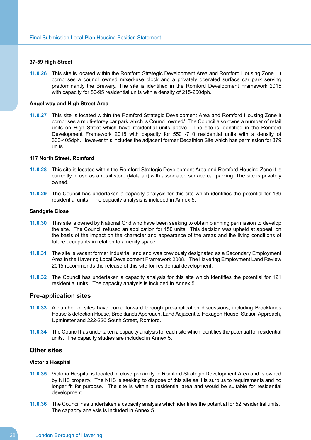### **37-59 High Street**

**11.0.26** This site is located within the Romford Strategic Development Area and Romford Housing Zone. It comprises a council owned mixed-use block and a privately operated surface car park serving predominantly the Brewery. The site is identified in the Romford Development Framework 2015 with capacity for 80-95 residential units with a density of 215-260dph.

### **Angel way and High Street Area**

**11.0.27** This site is located within the Romford Strategic Development Area and Romford Housing Zone it comprises a multi-storey car park which is Council owned/ The Council also owns a number of retail units on High Street which have residential units above. The site is identified in the Romford Development Framework 2015 with capacity for 550 -710 residential units with a density of 300-405dph. However this includes the adjacent former Decathlon Site which has permission for 379 units.

### **117 North Street, Romford**

- **11.0.28** This site is located within the Romford Strategic Development Area and Romford Housing Zone it is currently in use as a retail store (Matalan) with associated surface car parking. The site is privately owned.
- **11.0.29** The Council has undertaken a capacity analysis for this site which identifies the potential for 139 residential units. The capacity analysis is included in Annex 5.

### **Sandgate Close**

- **11.0.30** This site is owned by National Grid who have been seeking to obtain planning permission to develop the site. The Council refused an application for 150 units. This decision was upheld at appeal on the basis of the impact on the character and appearance of the areas and the living conditions of future occupants in relation to amenity space.
- **11.0.31** The site is vacant former industrial land and was previously designated as a Secondary Employment Area in the Havering Local Development Framework 2008. The Havering Employment Land Review 2015 recommends the release of this site for residential development.
- **11.0.32** The Council has undertaken a capacity analysis for this site which identifies the potential for 121 residential units. The capacity analysis is included in Annex 5.

### **Pre-application sites**

- **11.0.33** A number of sites have come forward through pre-application discussions, including Brooklands House & detection House, Brooklands Approach, Land Adjacent to Hexagon House, Station Approach, Upminster and 222-226 South Street, Romford.
- **11.0.34** The Council has undertaken a capacity analysis for each site which identifies the potential for residential units. The capacity studies are included in Annex 5.

### **Other sites**

### **Victoria Hospital**

- **11.0.35** Victoria Hospital is located in close proximity to Romford Strategic Development Area and is owned by NHS property. The NHS is seeking to dispose of this site as it is surplus to requirements and no longer fit for purpose. The site is within a residential area and would be suitable for residential development.
- **11.0.36** The Council has undertaken a capacity analysis which identifies the potential for 52 residential units. The capacity analysis is included in Annex 5.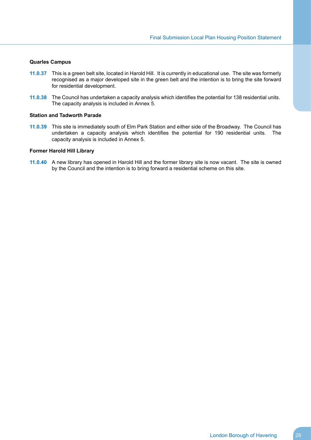### **Quarles Campus**

- **11.0.37** This is a green belt site, located in Harold Hill. It is currently in educational use. The site was formerly recognised as a major developed site in the green belt and the intention is to bring the site forward for residential development.
- **11.0.38** The Council has undertaken a capacity analysis which identifies the potential for 138 residential units. The capacity analysis is included in Annex 5.

### **Station and Tadworth Parade**

**11.0.39** This site is immediately south of Elm Park Station and either side of the Broadway. The Council has undertaken a capacity analysis which identifies the potential for 190 residential units. The capacity analysis is included in Annex 5.

#### **Former Harold Hill Library**

**11.0.40** A new library has opened in Harold Hill and the former library site is now vacant. The site is owned by the Council and the intention is to bring forward a residential scheme on this site.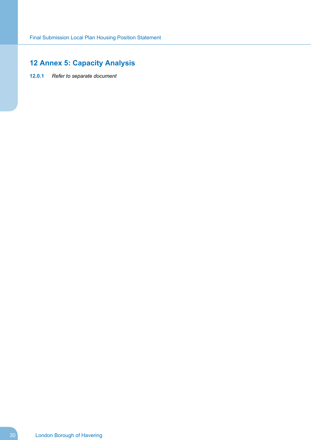# <span id="page-31-0"></span>**12 Annex 5: Capacity Analysis**

**12.0.1** *Refer to separate document*